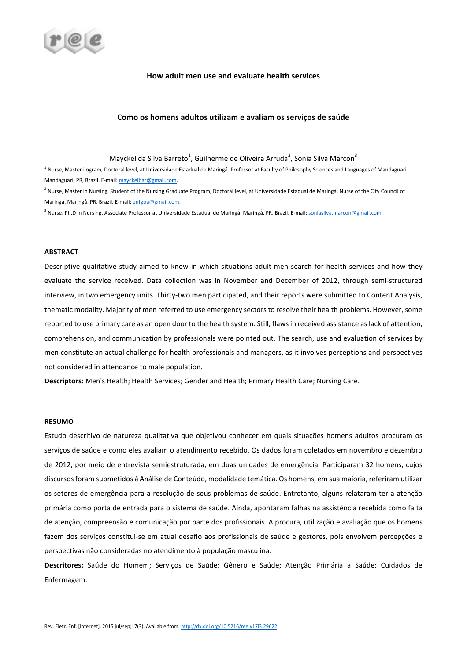

# **How adult men use and evaluate health services**

## Como os homens adultos utilizam e avaliam os serviços de saúde

Mayckel da Silva Barreto<sup>1</sup>, Guilherme de Oliveira Arruda<sup>2</sup>, Sonia Silva Marcon<sup>3</sup>

 $1$  Nurse, Master i ogram, Doctoral level, at Universidade Estadual de Maringá. Professor at Faculty of Philosophy Sciences and Languages of Mandaguari. Mandaguari, PR, Brazil. E-mail: mayckelbar@gmail.com.

<sup>2</sup> Nurse, Master in Nursing. Student of the Nursing Graduate Program, Doctoral level, at Universidade Estadual de Maringá. Nurse of the City Council of Maringá. Maringá, PR, Brazil. E-mail: enfgoa@gmail.com.

<sup>3</sup> Nurse, Ph.D in Nursing. Associate Professor at Universidade Estadual de Maringá. Maringá, PR, Brazil. E-mail: <u>soniasilva.marcon@gmail.com</u>.

#### **ABSTRACT**

Descriptive qualitative study aimed to know in which situations adult men search for health services and how they evaluate the service received. Data collection was in November and December of 2012, through semi-structured interview, in two emergency units. Thirty-two men participated, and their reports were submitted to Content Analysis, thematic modality. Majority of men referred to use emergency sectors to resolve their health problems. However, some reported to use primary care as an open door to the health system. Still, flaws in received assistance as lack of attention, comprehension, and communication by professionals were pointed out. The search, use and evaluation of services by men constitute an actual challenge for health professionals and managers, as it involves perceptions and perspectives not considered in attendance to male population.

Descriptors: Men's Health; Health Services; Gender and Health; Primary Health Care; Nursing Care.

## **RESUMO**

Estudo descritivo de natureza qualitativa que objetivou conhecer em quais situações homens adultos procuram os serviços de saúde e como eles avaliam o atendimento recebido. Os dados foram coletados em novembro e dezembro de 2012, por meio de entrevista semiestruturada, em duas unidades de emergência. Participaram 32 homens, cujos discursos foram submetidos à Análise de Conteúdo, modalidade temática. Os homens, em sua maioria, referiram utilizar os setores de emergência para a resolução de seus problemas de saúde. Entretanto, alguns relataram ter a atenção primária como porta de entrada para o sistema de saúde. Ainda, apontaram falhas na assistência recebida como falta de atenção, compreensão e comunicação por parte dos profissionais. A procura, utilização e avaliação que os homens fazem dos serviços constitui-se em atual desafio aos profissionais de saúde e gestores, pois envolvem percepções e perspectivas não consideradas no atendimento à população masculina.

Descritores: Saúde do Homem; Serviços de Saúde; Gênero e Saúde; Atenção Primária a Saúde; Cuidados de Enfermagem.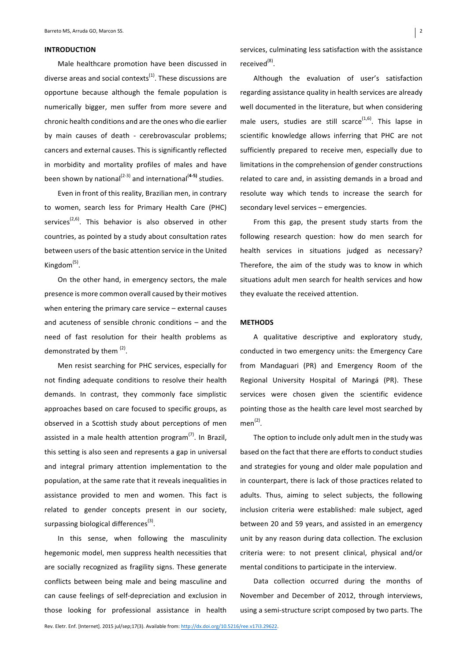#### **INTRODUCTION**

Male healthcare promotion have been discussed in diverse areas and social contexts<sup>(1)</sup>. These discussions are opportune because although the female population is numerically bigger, men suffer from more severe and chronic health conditions and are the ones who die earlier by main causes of death - cerebrovascular problems; cancers and external causes. This is significantly reflected in morbidity and mortality profiles of males and have been shown by national<sup>(2-3)</sup> and international<sup>(4-5)</sup> studies.

Even in front of this reality, Brazilian men, in contrary to women, search less for Primary Health Care (PHC) services<sup> $(2,6)$ </sup>. This behavior is also observed in other countries, as pointed by a study about consultation rates between users of the basic attention service in the United Kingdom $<sup>(5)</sup>$ .</sup>

On the other hand, in emergency sectors, the male presence is more common overall caused by their motives when entering the primary care service  $-$  external causes and acuteness of sensible chronic conditions  $-$  and the need of fast resolution for their health problems as demonstrated by them  $(2)$ .

Men resist searching for PHC services, especially for not finding adequate conditions to resolve their health demands. In contrast, they commonly face simplistic approaches based on care focused to specific groups, as observed in a Scottish study about perceptions of men assisted in a male health attention program $<sup>(7)</sup>$ . In Brazil,</sup> this setting is also seen and represents a gap in universal and integral primary attention implementation to the population, at the same rate that it reveals inequalities in assistance provided to men and women. This fact is related to gender concepts present in our society, surpassing biological differences<sup>(3)</sup>.

In this sense, when following the masculinity hegemonic model, men suppress health necessities that are socially recognized as fragility signs. These generate conflicts between being male and being masculine and can cause feelings of self-depreciation and exclusion in those looking for professional assistance in health services, culminating less satisfaction with the assistance received<sup>(8)</sup>.

Although the evaluation of user's satisfaction regarding assistance quality in health services are already well documented in the literature, but when considering male users, studies are still scarce $(1,6)$ . This lapse in scientific knowledge allows inferring that PHC are not sufficiently prepared to receive men, especially due to limitations in the comprehension of gender constructions related to care and, in assisting demands in a broad and resolute way which tends to increase the search for secondary level services - emergencies.

From this gap, the present study starts from the following research question: how do men search for health services in situations judged as necessary? Therefore, the aim of the study was to know in which situations adult men search for health services and how they evaluate the received attention.

### **METHODS**

A qualitative descriptive and exploratory study, conducted in two emergency units: the Emergency Care from Mandaguari (PR) and Emergency Room of the Regional University Hospital of Maringá (PR). These services were chosen given the scientific evidence pointing those as the health care level most searched by  $men<sup>(2)</sup>$ .

The option to include only adult men in the study was based on the fact that there are efforts to conduct studies and strategies for young and older male population and in counterpart, there is lack of those practices related to adults. Thus, aiming to select subjects, the following inclusion criteria were established: male subject, aged between 20 and 59 years, and assisted in an emergency unit by any reason during data collection. The exclusion criteria were: to not present clinical, physical and/or mental conditions to participate in the interview.

Data collection occurred during the months of November and December of 2012, through interviews, using a semi-structure script composed by two parts. The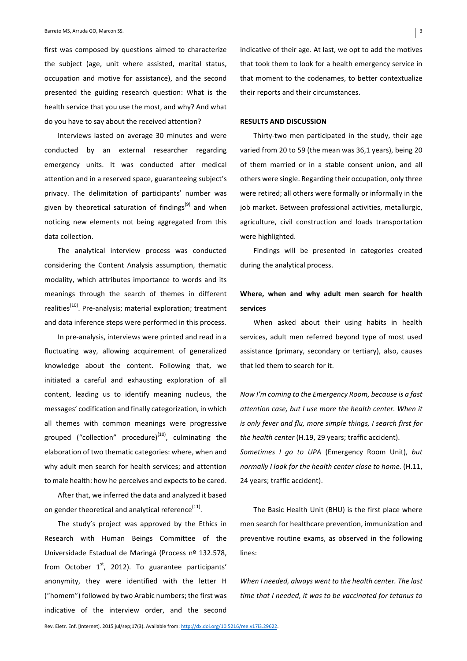first was composed by questions aimed to characterize the subject (age, unit where assisted, marital status, occupation and motive for assistance), and the second presented the guiding research question: What is the health service that you use the most, and why? And what do you have to say about the received attention?

Interviews lasted on average 30 minutes and were conducted by an external researcher regarding emergency units. It was conducted after medical attention and in a reserved space, guaranteeing subject's privacy. The delimitation of participants' number was given by theoretical saturation of findings<sup>(9)</sup> and when noticing new elements not being aggregated from this data collection.

The analytical interview process was conducted considering the Content Analysis assumption, thematic modality, which attributes importance to words and its meanings through the search of themes in different realities<sup>(10)</sup>. Pre-analysis; material exploration; treatment and data inference steps were performed in this process.

In pre-analysis, interviews were printed and read in a fluctuating way, allowing acquirement of generalized knowledge about the content. Following that, we initiated a careful and exhausting exploration of all content, leading us to identify meaning nucleus, the messages' codification and finally categorization, in which all themes with common meanings were progressive grouped ("collection" procedure) $(10)$ , culminating the elaboration of two thematic categories: where, when and why adult men search for health services; and attention to male health: how he perceives and expects to be cared.

After that, we inferred the data and analyzed it based on gender theoretical and analytical reference<sup>(11)</sup>.

The study's project was approved by the Ethics in Research with Human Beings Committee of the Universidade Estadual de Maringá (Process nº 132.578, from October  $1<sup>st</sup>$ , 2012). To guarantee participants' anonymity, they were identified with the letter H ("homem") followed by two Arabic numbers; the first was indicative of the interview order, and the second

indicative of their age. At last, we opt to add the motives that took them to look for a health emergency service in that moment to the codenames, to better contextualize their reports and their circumstances.

#### **RESULTS AND DISCUSSION**

Thirty-two men participated in the study, their age varied from 20 to 59 (the mean was 36,1 years), being 20 of them married or in a stable consent union, and all others were single. Regarding their occupation, only three were retired; all others were formally or informally in the job market. Between professional activities, metallurgic, agriculture, civil construction and loads transportation were highlighted.

Findings will be presented in categories created during the analytical process.

# Where, when and why adult men search for health **services**

When asked about their using habits in health services, adult men referred beyond type of most used assistance (primary, secondary or tertiary), also, causes that led them to search for it.

*Now I'm coming to the Emergency Room, because is a fast attention case, but I use more the health center. When it is* only fever and flu, more simple things, I search first for *the health center* (H.19, 29 years; traffic accident).

*Sometimes I go to UPA* (Emergency Room Unit), but *normally I look for the health center close to home.* (H.11, 24 years; traffic accident).

The Basic Health Unit (BHU) is the first place where men search for healthcare prevention, immunization and preventive routine exams, as observed in the following lines: 

When I needed, always went to the health center. The last time that *I* needed, it was to be vaccinated for tetanus to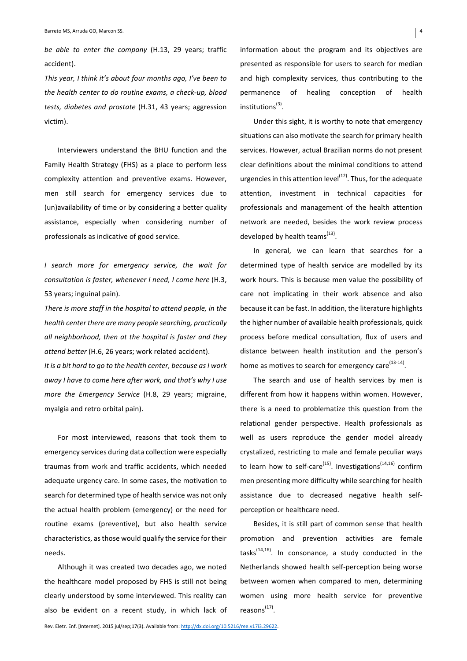*be able to enter the company* (H.13, 29 years; traffic accident). 

*This* year, I think it's about four months ago, I've been to the health center to do routine exams, a check-up, blood *tests, diabetes and prostate* (H.31, 43 years; aggression victim).

Interviewers understand the BHU function and the Family Health Strategy (FHS) as a place to perform less complexity attention and preventive exams. However, men still search for emergency services due to (un)availability of time or by considering a better quality assistance, especially when considering number of professionals as indicative of good service.

*I search more for emergency service, the wait for consultation is faster, whenever I need, I come here (H.3,* 53 years; inguinal pain).

*There* is more staff in the hospital to attend people, in the *health center there are many people searching, practically* all neighborhood, then at the hospital is faster and they attend better (H.6, 26 years; work related accident).

It is a bit hard to go to the health center, because as I work *away* I have to come here after work, and that's why I use *more the Emergency Service* (H.8, 29 years; migraine, myalgia and retro orbital pain).

For most interviewed, reasons that took them to emergency services during data collection were especially traumas from work and traffic accidents, which needed adequate urgency care. In some cases, the motivation to search for determined type of health service was not only the actual health problem (emergency) or the need for routine exams (preventive), but also health service characteristics, as those would qualify the service for their needs. 

Although it was created two decades ago, we noted the healthcare model proposed by FHS is still not being clearly understood by some interviewed. This reality can also be evident on a recent study, in which lack of information about the program and its objectives are presented as responsible for users to search for median and high complexity services, thus contributing to the permanence of healing conception of health institutions<sup>(3)</sup>.

Under this sight, it is worthy to note that emergency situations can also motivate the search for primary health services. However, actual Brazilian norms do not present clear definitions about the minimal conditions to attend urgencies in this attention  $level<sup>(12)</sup>$ . Thus, for the adequate attention, investment in technical capacities for professionals and management of the health attention network are needed, besides the work review process developed by health teams<sup>(13)</sup>.

In general, we can learn that searches for a determined type of health service are modelled by its work hours. This is because men value the possibility of care not implicating in their work absence and also because it can be fast. In addition, the literature highlights the higher number of available health professionals, quick process before medical consultation, flux of users and distance between health institution and the person's home as motives to search for emergency care $^{(13-14)}$ .

The search and use of health services by men is different from how it happens within women. However, there is a need to problematize this question from the relational gender perspective. Health professionals as well as users reproduce the gender model already crystalized, restricting to male and female peculiar ways to learn how to self-care<sup>(15)</sup>. Investigations<sup>(14,16)</sup> confirm men presenting more difficulty while searching for health assistance due to decreased negative health selfperception or healthcare need.

Besides, it is still part of common sense that health promotion and prevention activities are female tasks $^{(14,16)}$ . In consonance, a study conducted in the Netherlands showed health self-perception being worse between women when compared to men, determining women using more health service for preventive  $reasons<sup>(17)</sup>$ .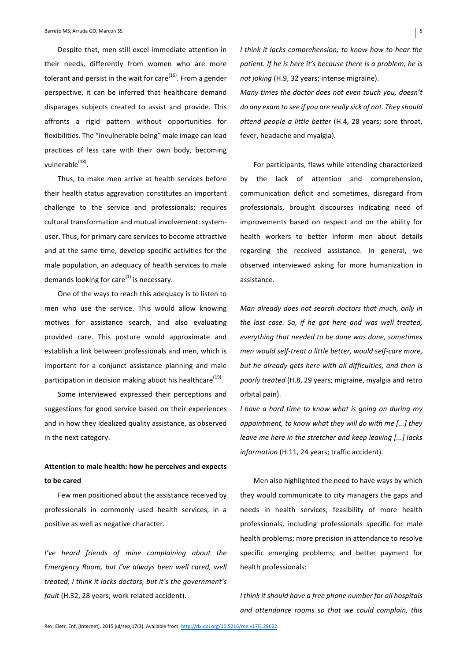Despite that, men still excel immediate attention in their needs, differently from women who are more tolerant and persist in the wait for care  $(16)$ . From a gender perspective, it can be inferred that healthcare demand disparages subjects created to assist and provide. This affronts a rigid pattern without opportunities for flexibilities. The "invulnerable being" male image can lead practices of less care with their own body, becoming vulnerable $^{(18)}$ .

Thus, to make men arrive at health services before their health status aggravation constitutes an important challenge to the service and professionals; requires cultural transformation and mutual involvement: systemuser. Thus, for primary care services to become attractive and at the same time, develop specific activities for the male population, an adequacy of health services to male demands looking for care $^{(1)}$  is necessary.

One of the ways to reach this adequacy is to listen to men who use the service. This would allow knowing motives for assistance search, and also evaluating provided care. This posture would approximate and establish a link between professionals and men, which is important for a conjunct assistance planning and male participation in decision making about his healthcare<sup>(19)</sup>.

Some interviewed expressed their perceptions and suggestions for good service based on their experiences and in how they idealized quality assistance, as observed in the next category.

# Attention to male health: how he perceives and expects **to be cared**

Few men positioned about the assistance received by professionals in commonly used health services, in a positive as well as negative character.

*I've* heard friends of mine complaining about the *Emergency Room, but I've always been well cared, well treated, I think it lacks doctors, but it's the government's fault* (H.32, 28 years; work related accident).

*I* think it lacks comprehension, to know how to hear the patient. If he is here it's because there is a problem, he is *not joking* (H.9, 32 years; intense migraine).

*Many times the doctor does not even touch you, doesn't do* any exam to see if you are really sick of not. They should *attend people a little better* (H.4, 28 years; sore throat, fever, headache and myalgia).

For participants, flaws while attending characterized by the lack of attention and comprehension, communication deficit and sometimes, disregard from professionals, brought discourses indicating need of improvements based on respect and on the ability for health workers to better inform men about details regarding the received assistance. In general, we observed interviewed asking for more humanization in assistance.

*Man already does not search doctors that much, only in the last case. So, if he got here and was well treated, everything that needed to be done was done, sometimes men* would self-treat a little better, would self-care more, but he already gets here with all difficulties, and then is poorly treated (H.8, 29 years; migraine, myalgia and retro orbital pain).

*I* have a hard time to know what is going on during my *appointment, to know what they will do with me [...] they leave me here in the stretcher and keep leaving [...] lacks information* (H.11, 24 years; traffic accident).

Men also highlighted the need to have ways by which they would communicate to city managers the gaps and needs in health services; feasibility of more health professionals, including professionals specific for male health problems; more precision in attendance to resolve specific emerging problems; and better payment for health professionals:

*I* think it should have a free phone number for all hospitals and attendance rooms so that we could complain, this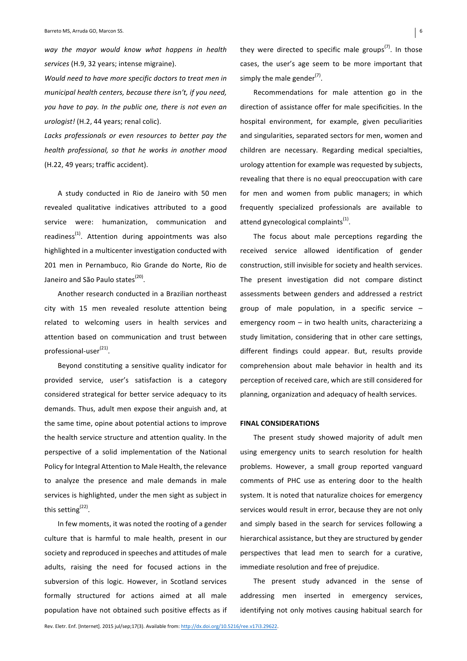way the mayor would know what happens in health services (H.9, 32 years; intense migraine).

*Would need to have more specific doctors to treat men in municipal health centers, because there isn't, if you need,* you have to pay. In the public one, there is not even an *urologist!* (H.2, 44 years; renal colic).

Lacks professionals or even resources to better pay the *health professional, so that he works in another mood* (H.22, 49 years; traffic accident).

A study conducted in Rio de Janeiro with 50 men revealed qualitative indicatives attributed to a good service were: humanization, communication and readiness<sup>(1)</sup>. Attention during appointments was also highlighted in a multicenter investigation conducted with 201 men in Pernambuco, Rio Grande do Norte, Rio de Janeiro and São Paulo states<sup>(20)</sup>.

Another research conducted in a Brazilian northeast city with 15 men revealed resolute attention being related to welcoming users in health services and attention based on communication and trust between  $professional-user<sup>(21)</sup>.$ 

Beyond constituting a sensitive quality indicator for provided service, user's satisfaction is a category considered strategical for better service adequacy to its demands. Thus, adult men expose their anguish and, at the same time, opine about potential actions to improve the health service structure and attention quality. In the perspective of a solid implementation of the National Policy for Integral Attention to Male Health, the relevance to analyze the presence and male demands in male services is highlighted, under the men sight as subject in this setting<sup> $(22)$ </sup>.

In few moments, it was noted the rooting of a gender culture that is harmful to male health, present in our society and reproduced in speeches and attitudes of male adults, raising the need for focused actions in the subversion of this logic. However, in Scotland services formally structured for actions aimed at all male population have not obtained such positive effects as if they were directed to specific male groups<sup>(7)</sup>. In those cases, the user's age seem to be more important that simply the male gender<sup>(7)</sup>.

Recommendations for male attention go in the direction of assistance offer for male specificities. In the hospital environment, for example, given peculiarities and singularities, separated sectors for men, women and children are necessary. Regarding medical specialties, urology attention for example was requested by subjects, revealing that there is no equal preoccupation with care for men and women from public managers; in which frequently specialized professionals are available to attend gynecological complaints $<sup>(1)</sup>$ .</sup>

The focus about male perceptions regarding the received service allowed identification of gender construction, still invisible for society and health services. The present investigation did not compare distinct assessments between genders and addressed a restrict group of male population, in a specific service  $$ emergency room  $-$  in two health units, characterizing a study limitation, considering that in other care settings, different findings could appear. But, results provide comprehension about male behavior in health and its perception of received care, which are still considered for planning, organization and adequacy of health services.

#### **FINAL CONSIDERATIONS**

The present study showed majority of adult men using emergency units to search resolution for health problems. However, a small group reported vanguard comments of PHC use as entering door to the health system. It is noted that naturalize choices for emergency services would result in error, because they are not only and simply based in the search for services following a hierarchical assistance, but they are structured by gender perspectives that lead men to search for a curative, immediate resolution and free of prejudice.

The present study advanced in the sense of addressing men inserted in emergency services, identifying not only motives causing habitual search for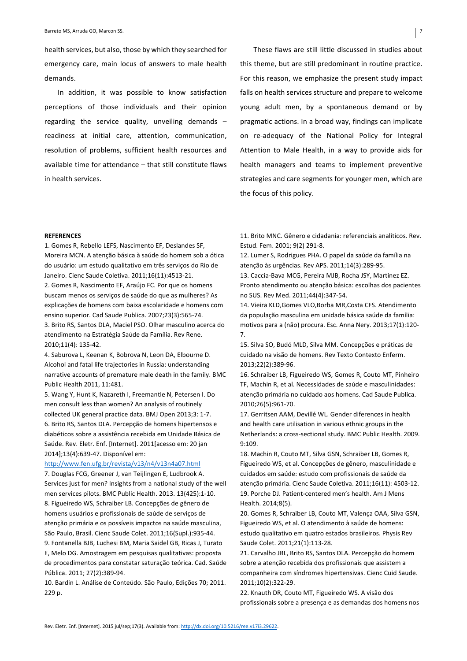health services, but also, those by which they searched for emergency care, main locus of answers to male health demands. 

In addition, it was possible to know satisfaction perceptions of those individuals and their opinion regarding the service quality, unveiling demands  $$ readiness at initial care, attention, communication, resolution of problems, sufficient health resources and available time for attendance  $-$  that still constitute flaws in health services.

These flaws are still little discussed in studies about this theme, but are still predominant in routine practice. For this reason, we emphasize the present study impact falls on health services structure and prepare to welcome young adult men, by a spontaneous demand or by pragmatic actions. In a broad way, findings can implicate on re-adequacy of the National Policy for Integral Attention to Male Health, in a way to provide aids for health managers and teams to implement preventive strategies and care segments for younger men, which are the focus of this policy.

## **REFERENCES**

1. Gomes R, Rebello LEFS, Nascimento EF, Deslandes SF, Moreira MCN. A atenção básica à saúde do homem sob a ótica do usuário: um estudo qualitativo em três serviços do Rio de Janeiro. Cienc Saude Coletiva. 2011;16(11):4513-21. 2. Gomes R, Nascimento EF, Araújo FC. Por que os homens buscam menos os serviços de saúde do que as mulheres? As explicações de homens com baixa escolaridade e homens com ensino superior. Cad Saude Publica. 2007;23(3):565-74. 3. Brito RS, Santos DLA, Maciel PSO. Olhar masculino acerca do atendimento na Estratégia Saúde da Família. Rev Rene. 2010;11(4): 135-42.

4. Saburova L, Keenan K, Bobrova N, Leon DA, Elbourne D. Alcohol and fatal life trajectories in Russia: understanding narrative accounts of premature male death in the family. BMC Public Health 2011, 11:481.

5. Wang Y, Hunt K, Nazareth I, Freemantle N, Petersen I. Do men consult less than women? An analysis of routinely collected UK general practice data. BMJ Open 2013;3: 1-7. 6. Brito RS, Santos DLA. Percepção de homens hipertensos e diabéticos sobre a assistência recebida em Unidade Básica de Saúde. Rev. Eletr. Enf. [Internet]. 2011[acesso em: 20 jan 2014];13(4):639-47. Disponível em:

#### http://www.fen.ufg.br/revista/v13/n4/v13n4a07.html

7. Douglas FCG, Greener J, van Teijlingen E, Ludbrook A. Services just for men? Insights from a national study of the well men services pilots. BMC Public Health. 2013. 13(425):1-10. 8. Figueiredo WS, Schraiber LB. Concepções de gênero de homens usuários e profissionais de saúde de serviços de atenção primária e os possíveis impactos na saúde masculina, São Paulo, Brasil. Cienc Saude Colet. 2011;16(Supl.):935-44. 9. Fontanella BJB, Luchesi BM, Maria Saidel GB, Ricas J, Turato E, Melo DG. Amostragem em pesquisas qualitativas: proposta de procedimentos para constatar saturação teórica. Cad. Saúde Pública. 2011: 27(2):389-94.

10. Bardin L. Análise de Conteúdo. São Paulo, Edições 70; 2011. 229 p.

11. Brito MNC. Gênero e cidadania: referenciais analíticos. Rev. Estud. Fem. 2001; 9(2) 291-8.

12. Lumer S, Rodrigues PHA. O papel da saúde da família na atenção às urgências. Rev APS. 2011;14(3):289-95.

13. Caccia-Bava MCG, Pereira MJB, Rocha JSY, Martinez EZ. Pronto atendimento ou atenção básica: escolhas dos pacientes no SUS. Rev Med. 2011;44(4):347-54.

14. Vieira KLD, Gomes VLO, Borba MR, Costa CFS. Atendimento da população masculina em unidade básica saúde da família: motivos para a (não) procura. Esc. Anna Nery. 2013;17(1):120-7.

15. Silva SO, Budó MLD, Silva MM. Concepções e práticas de cuidado na visão de homens. Rev Texto Contexto Enferm. 2013;22(2):389-96.

16. Schraiber LB, Figueiredo WS, Gomes R, Couto MT, Pinheiro TF, Machin R, et al. Necessidades de saúde e masculinidades: atenção primária no cuidado aos homens. Cad Saude Publica. 2010;26(5):961-70.

17. Gerritsen AAM, Devillé WL. Gender diferences in health and health care utilisation in various ethnic groups in the Netherlands: a cross-sectional study. BMC Public Health. 2009. 9:109.

18. Machin R, Couto MT, Silva GSN, Schraiber LB, Gomes R, Figueiredo WS, et al. Concepções de gênero, masculinidade e cuidados em saúde: estudo com profissionais de saúde da atenção primária. Cienc Saude Coletiva. 2011;16(11): 4503-12. 19. Porche DJ. Patient-centered men's health. Am J Mens Health. 2014;8(5).

20. Gomes R, Schraiber LB, Couto MT, Valença OAA, Silva GSN, Figueiredo WS, et al. O atendimento à saúde de homens: estudo qualitativo em quatro estados brasileiros. Physis Rev Saude Colet. 2011;21(1):113-28.

21. Carvalho JBL, Brito RS, Santos DLA. Percepção do homem sobre a atenção recebida dos profissionais que assistem a companheira com síndromes hipertensivas. Cienc Cuid Saude. 2011;10(2):322-29.

22. Knauth DR, Couto MT, Figueiredo WS. A visão dos profissionais sobre a presença e as demandas dos homens nos